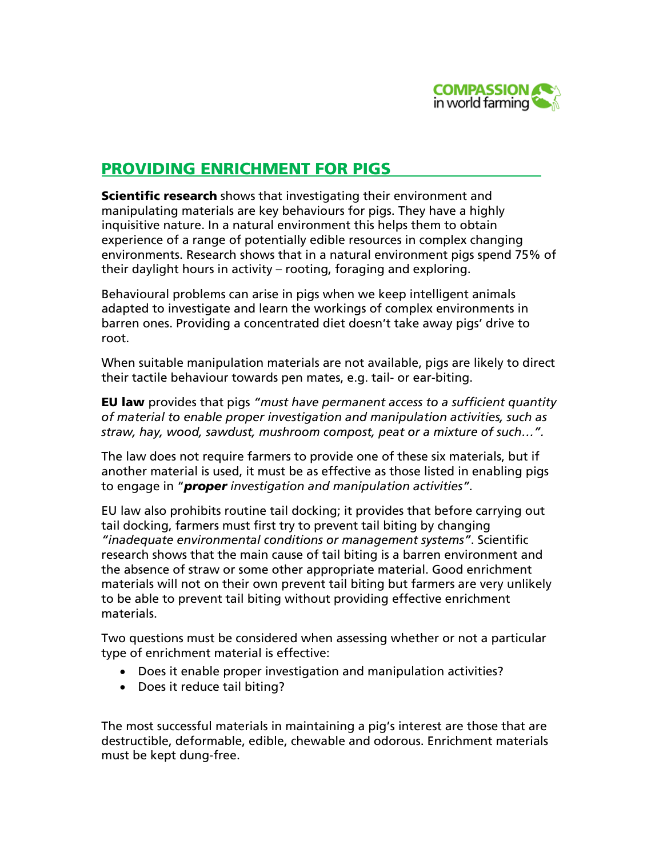

# PROVIDING ENRICHMENT FOR PIGS

**Scientific research** shows that investigating their environment and manipulating materials are key behaviours for pigs. They have a highly inquisitive nature. In a natural environment this helps them to obtain experience of a range of potentially edible resources in complex changing environments. Research shows that in a natural environment pigs spend 75% of their daylight hours in activity – rooting, foraging and exploring.

Behavioural problems can arise in pigs when we keep intelligent animals adapted to investigate and learn the workings of complex environments in barren ones. Providing a concentrated diet doesn't take away pigs' drive to root.

When suitable manipulation materials are not available, pigs are likely to direct their tactile behaviour towards pen mates, e.g. tail- or ear-biting.

EU law provides that pigs *"must have permanent access to a sufficient quantity of material to enable proper investigation and manipulation activities, such as straw, hay, wood, sawdust, mushroom compost, peat or a mixture of such…".*

The law does not require farmers to provide one of these six materials, but if another material is used, it must be as effective as those listed in enabling pigs to engage in "*proper investigation and manipulation activities".*

EU law also prohibits routine tail docking; it provides that before carrying out tail docking, farmers must first try to prevent tail biting by changing *"inadequate environmental conditions or management systems"*. Scientific research shows that the main cause of tail biting is a barren environment and the absence of straw or some other appropriate material. Good enrichment materials will not on their own prevent tail biting but farmers are very unlikely to be able to prevent tail biting without providing effective enrichment materials.

Two questions must be considered when assessing whether or not a particular type of enrichment material is effective:

- Does it enable proper investigation and manipulation activities?
- Does it reduce tail biting?

The most successful materials in maintaining a pig's interest are those that are destructible, deformable, edible, chewable and odorous. Enrichment materials must be kept dung-free.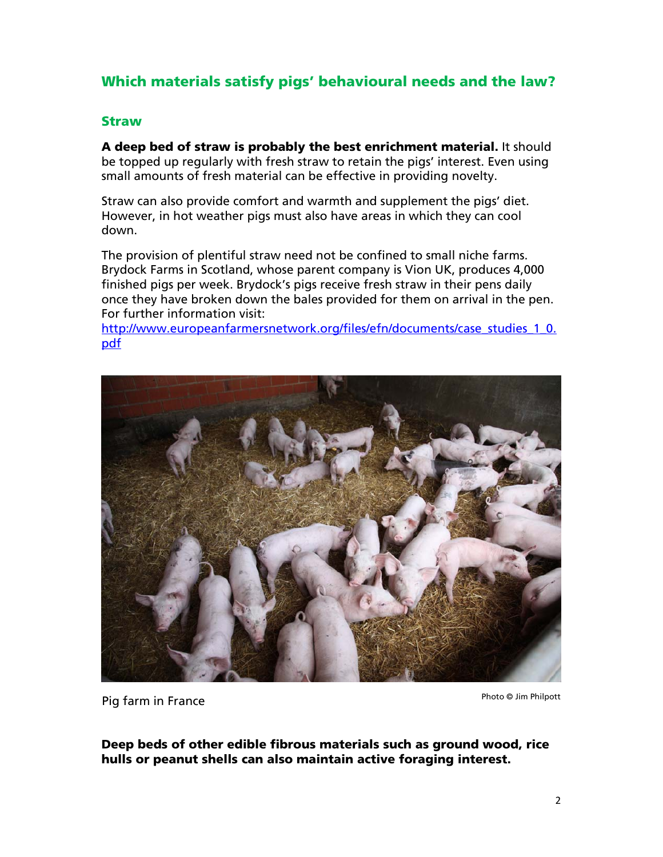# Which materials satisfy pigs' behavioural needs and the law?

#### Straw

A deep bed of straw is probably the best enrichment material. It should be topped up regularly with fresh straw to retain the pigs' interest. Even using small amounts of fresh material can be effective in providing novelty.

Straw can also provide comfort and warmth and supplement the pigs' diet. However, in hot weather pigs must also have areas in which they can cool down.

The provision of plentiful straw need not be confined to small niche farms. Brydock Farms in Scotland, whose parent company is Vion UK, produces 4,000 finished pigs per week. Brydock's pigs receive fresh straw in their pens daily once they have broken down the bales provided for them on arrival in the pen. For further information visit:

http://www.europeanfarmersnetwork.org/files/efn/documents/case\_studies\_1\_0. pdf



Pig farm in France

Photo © Jim Philpott

Deep beds of other edible fibrous materials such as ground wood, rice hulls or peanut shells can also maintain active foraging interest.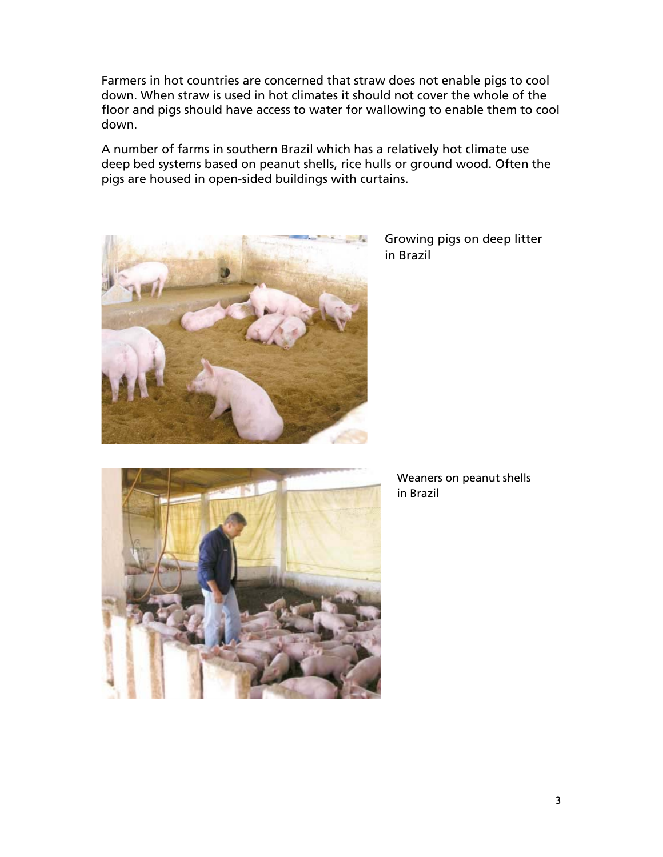Farmers in hot countries are concerned that straw does not enable pigs to cool down. When straw is used in hot climates it should not cover the whole of the floor and pigs should have access to water for wallowing to enable them to cool down.

A number of farms in southern Brazil which has a relatively hot climate use deep bed systems based on peanut shells, rice hulls or ground wood. Often the pigs are housed in open-sided buildings with curtains.



 Growing pigs on deep litter in Brazil



Weaners on peanut shells in Brazil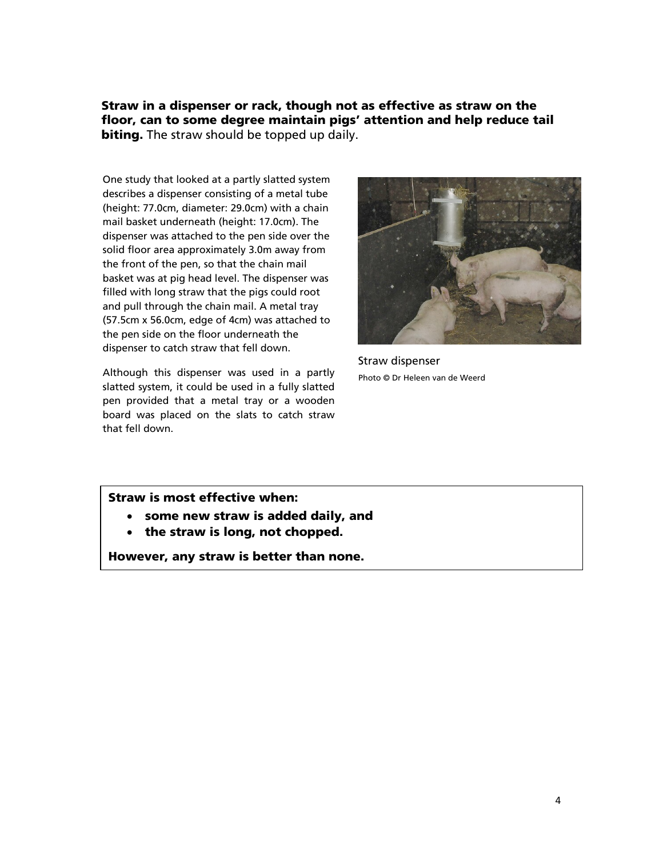Straw in a dispenser or rack, though not as effective as straw on the floor, can to some degree maintain pigs' attention and help reduce tail **biting.** The straw should be topped up daily.

One study that looked at a partly slatted system describes a dispenser consisting of a metal tube (height: 77.0cm, diameter: 29.0cm) with a chain mail basket underneath (height: 17.0cm). The dispenser was attached to the pen side over the solid floor area approximately 3.0m away from the front of the pen, so that the chain mail basket was at pig head level. The dispenser was filled with long straw that the pigs could root and pull through the chain mail. A metal tray (57.5cm x 56.0cm, edge of 4cm) was attached to the pen side on the floor underneath the dispenser to catch straw that fell down.

Although this dispenser was used in a partly slatted system, it could be used in a fully slatted pen provided that a metal tray or a wooden board was placed on the slats to catch straw that fell down.



 Straw dispenser Photo © Dr Heleen van de Weerd

Straw is most effective when:

- some new straw is added daily, and
- the straw is long, not chopped.

However, any straw is better than none.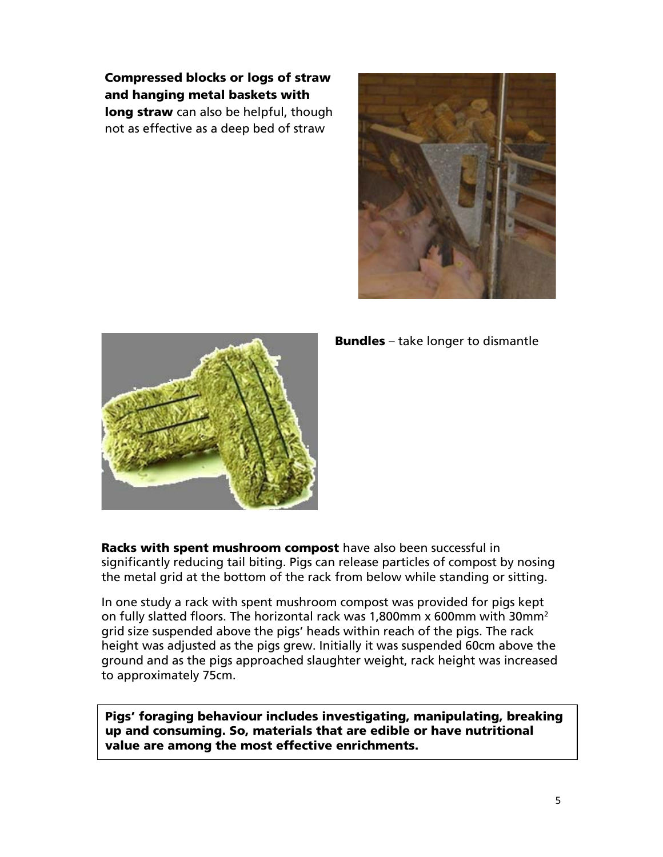Compressed blocks or logs of straw and hanging metal baskets with long straw can also be helpful, though not as effective as a deep bed of straw





Bundles – take longer to dismantle

Racks with spent mushroom compost have also been successful in significantly reducing tail biting. Pigs can release particles of compost by nosing the metal grid at the bottom of the rack from below while standing or sitting.

In one study a rack with spent mushroom compost was provided for pigs kept on fully slatted floors. The horizontal rack was 1,800mm x 600mm with 30mm2 grid size suspended above the pigs' heads within reach of the pigs. The rack height was adjusted as the pigs grew. Initially it was suspended 60cm above the ground and as the pigs approached slaughter weight, rack height was increased to approximately 75cm.

Pigs' foraging behaviour includes investigating, manipulating, breaking up and consuming. So, materials that are edible or have nutritional value are among the most effective enrichments.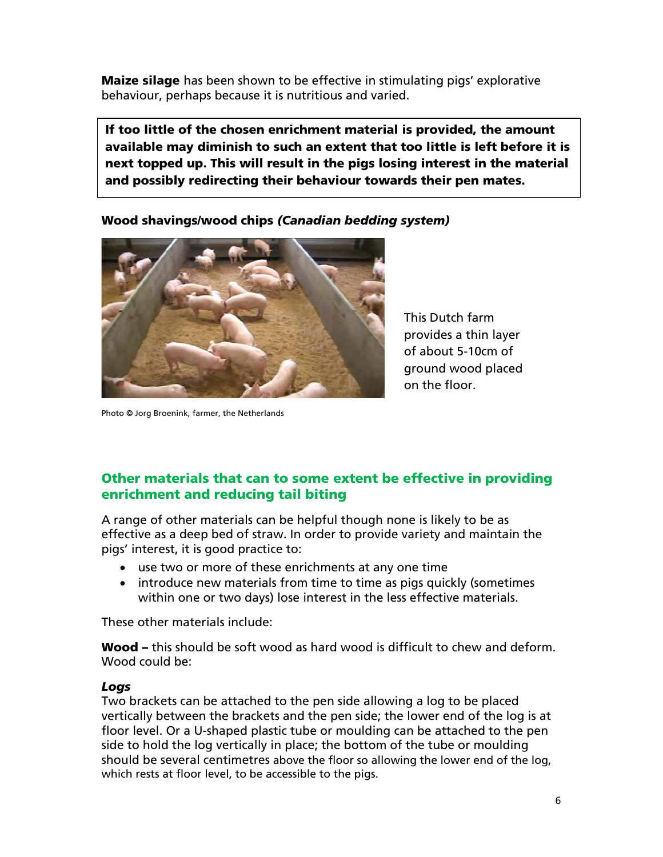**Maize silage** has been shown to be effective in stimulating pigs' explorative behaviour, perhaps because it is nutritious and varied.

If too little of the chosen enrichment material is provided, the amount available may diminish to such an extent that too little is left before it is next topped up. This will result in the pigs losing interest in the material and possibly redirecting their behaviour towards their pen mates.

Wood shavings/wood chips *(Canadian bedding system)* 



This Dutch farm provides a thin layer of about 5-10cm of ground wood placed on the floor.

Photo © Jorg Broenink, farmer, the Netherlands

# Other materials that can to some extent be effective in providing enrichment and reducing tail biting

A range of other materials can be helpful though none is likely to be as effective as a deep bed of straw. In order to provide variety and maintain the pigs' interest, it is good practice to:

- use two or more of these enrichments at any one time
- introduce new materials from time to time as pigs quickly (sometimes within one or two days) lose interest in the less effective materials.

These other materials include:

Wood – this should be soft wood as hard wood is difficult to chew and deform. Wood could be:

## *Logs*

Two brackets can be attached to the pen side allowing a log to be placed vertically between the brackets and the pen side; the lower end of the log is at floor level. Or a U-shaped plastic tube or moulding can be attached to the pen side to hold the log vertically in place; the bottom of the tube or moulding should be several centimetres above the floor so allowing the lower end of the log, which rests at floor level, to be accessible to the pigs.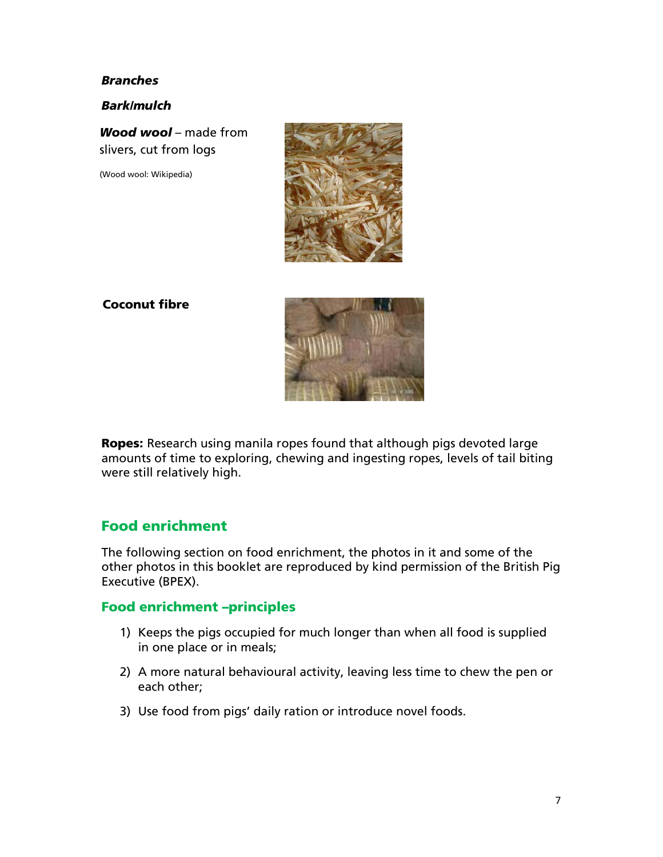#### *Branches*

*Bark/mulch* 

*Wood wool* – made from slivers, cut from logs

(Wood wool: Wikipedia)



### Coconut fibre



Ropes: Research using manila ropes found that although pigs devoted large amounts of time to exploring, chewing and ingesting ropes, levels of tail biting were still relatively high.

# Food enrichment

The following section on food enrichment, the photos in it and some of the other photos in this booklet are reproduced by kind permission of the British Pig Executive (BPEX).

### Food enrichment –principles

- 1) Keeps the pigs occupied for much longer than when all food is supplied in one place or in meals;
- 2) A more natural behavioural activity, leaving less time to chew the pen or each other;
- 3) Use food from pigs' daily ration or introduce novel foods.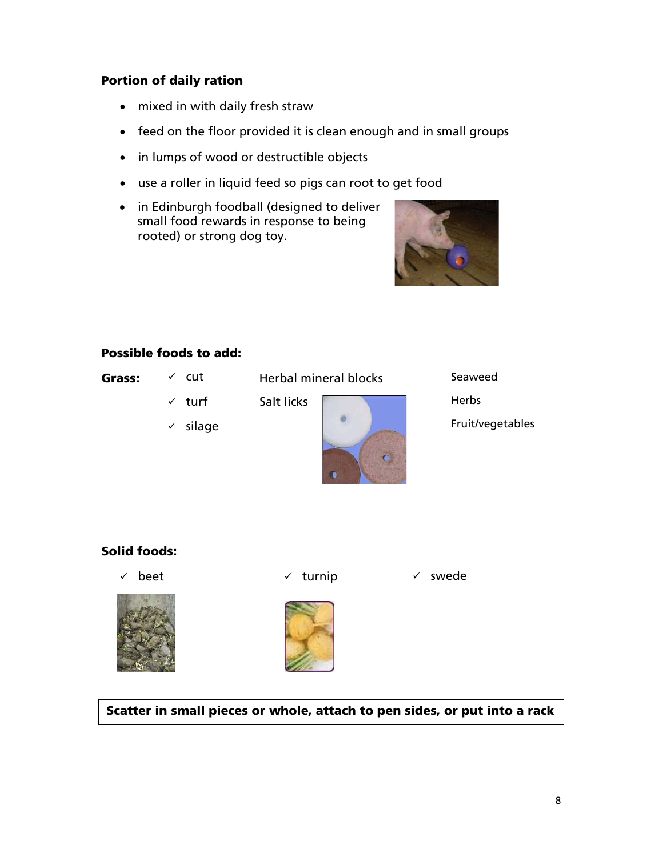## Portion of daily ration

- mixed in with daily fresh straw
- feed on the floor provided it is clean enough and in small groups
- in lumps of wood or destructible objects
- use a roller in liquid feed so pigs can root to get food
- in Edinburgh foodball (designed to deliver small food rewards in response to being rooted) or strong dog toy.



## Possible foods to add:

| . .<br>л сг<br>-- |  |
|-------------------|--|
| ٠                 |  |

 $\checkmark$  cut

Grass:  $\checkmark$  cut Herbal mineral blocks

- $\checkmark$  turf
- $\checkmark$  silage



Seaweed Herbs Fruit/vegetables

# Solid foods:

 $\checkmark$  beet



 $\checkmark$  turnip  $\checkmark$  swede